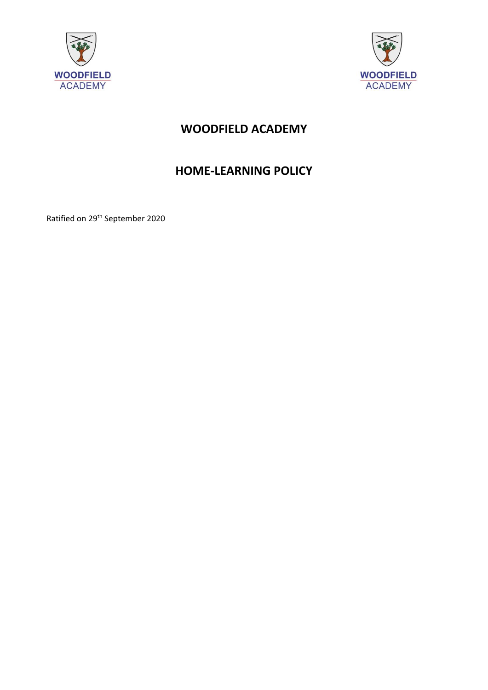



# **WOODFIELD ACADEMY**

## **HOME-LEARNING POLICY**

Ratified on 29th September 2020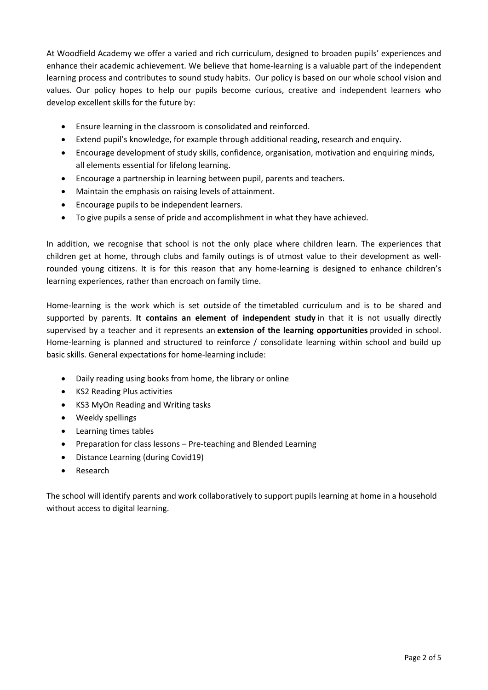At Woodfield Academy we offer a varied and rich curriculum, designed to broaden pupils' experiences and enhance their academic achievement. We believe that home-learning is a valuable part of the independent learning process and contributes to sound study habits. Our policy is based on our whole school vision and values. Our policy hopes to help our pupils become curious, creative and independent learners who develop excellent skills for the future by:

- Ensure learning in the classroom is consolidated and reinforced.
- Extend pupil's knowledge, for example through additional reading, research and enquiry.
- Encourage development of study skills, confidence, organisation, motivation and enquiring minds, all elements essential for lifelong learning.
- Encourage a partnership in learning between pupil, parents and teachers.
- Maintain the emphasis on raising levels of attainment.
- Encourage pupils to be independent learners.
- To give pupils a sense of pride and accomplishment in what they have achieved.

In addition, we recognise that school is not the only place where children learn. The experiences that children get at home, through clubs and family outings is of utmost value to their development as wellrounded young citizens. It is for this reason that any home-learning is designed to enhance children's learning experiences, rather than encroach on family time.

Home-learning is the work which is set outside of the timetabled curriculum and is to be shared and supported by parents. **It contains an element of independent study** in that it is not usually directly supervised by a teacher and it represents an **extension of the learning opportunities** provided in school. Home-learning is planned and structured to reinforce / consolidate learning within school and build up basic skills. General expectations for home-learning include:

- Daily reading using books from home, the library or online
- KS2 Reading Plus activities
- KS3 MyOn Reading and Writing tasks
- Weekly spellings
- Learning times tables
- Preparation for class lessons Pre-teaching and Blended Learning
- Distance Learning (during Covid19)
- Research

The school will identify parents and work collaboratively to support pupils learning at home in a household without access to digital learning.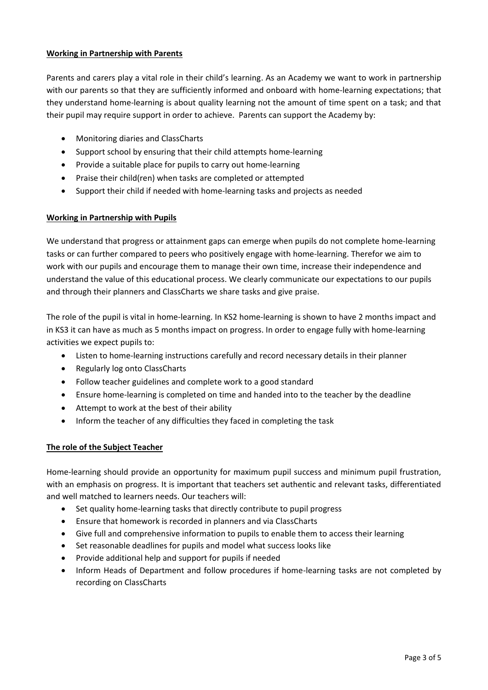#### **Working in Partnership with Parents**

Parents and carers play a vital role in their child's learning. As an Academy we want to work in partnership with our parents so that they are sufficiently informed and onboard with home-learning expectations; that they understand home-learning is about quality learning not the amount of time spent on a task; and that their pupil may require support in order to achieve. Parents can support the Academy by:

- Monitoring diaries and ClassCharts
- Support school by ensuring that their child attempts home-learning
- Provide a suitable place for pupils to carry out home-learning
- Praise their child(ren) when tasks are completed or attempted
- Support their child if needed with home-learning tasks and projects as needed

### **Working in Partnership with Pupils**

We understand that progress or attainment gaps can emerge when pupils do not complete home-learning tasks or can further compared to peers who positively engage with home-learning. Therefor we aim to work with our pupils and encourage them to manage their own time, increase their independence and understand the value of this educational process. We clearly communicate our expectations to our pupils and through their planners and ClassCharts we share tasks and give praise.

The role of the pupil is vital in home-learning. In KS2 home-learning is shown to have 2 months impact and in KS3 it can have as much as 5 months impact on progress. In order to engage fully with home-learning activities we expect pupils to:

- Listen to home-learning instructions carefully and record necessary details in their planner
- Regularly log onto ClassCharts
- Follow teacher guidelines and complete work to a good standard
- Ensure home-learning is completed on time and handed into to the teacher by the deadline
- Attempt to work at the best of their ability
- Inform the teacher of any difficulties they faced in completing the task

### **The role of the Subject Teacher**

Home-learning should provide an opportunity for maximum pupil success and minimum pupil frustration, with an emphasis on progress. It is important that teachers set authentic and relevant tasks, differentiated and well matched to learners needs. Our teachers will:

- Set quality home-learning tasks that directly contribute to pupil progress
- Ensure that homework is recorded in planners and via ClassCharts
- Give full and comprehensive information to pupils to enable them to access their learning
- Set reasonable deadlines for pupils and model what success looks like
- Provide additional help and support for pupils if needed
- Inform Heads of Department and follow procedures if home-learning tasks are not completed by recording on ClassCharts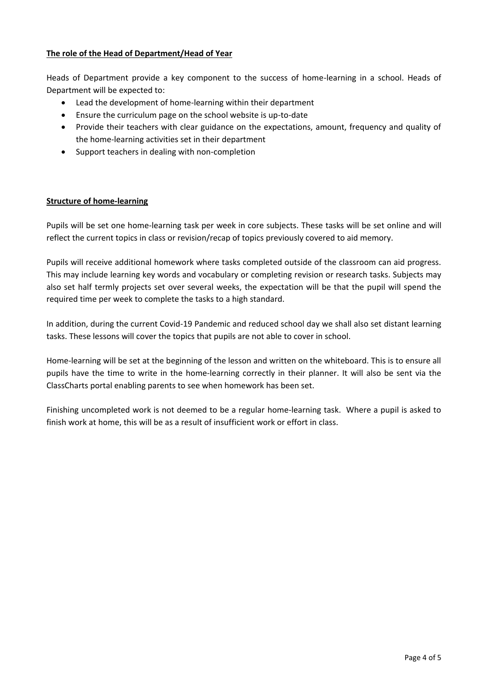### **The role of the Head of Department/Head of Year**

Heads of Department provide a key component to the success of home-learning in a school. Heads of Department will be expected to:

- Lead the development of home-learning within their department
- Ensure the curriculum page on the school website is up-to-date
- Provide their teachers with clear guidance on the expectations, amount, frequency and quality of the home-learning activities set in their department
- Support teachers in dealing with non-completion

#### **Structure of home-learning**

Pupils will be set one home-learning task per week in core subjects. These tasks will be set online and will reflect the current topics in class or revision/recap of topics previously covered to aid memory.

Pupils will receive additional homework where tasks completed outside of the classroom can aid progress. This may include learning key words and vocabulary or completing revision or research tasks. Subjects may also set half termly projects set over several weeks, the expectation will be that the pupil will spend the required time per week to complete the tasks to a high standard.

In addition, during the current Covid-19 Pandemic and reduced school day we shall also set distant learning tasks. These lessons will cover the topics that pupils are not able to cover in school.

Home-learning will be set at the beginning of the lesson and written on the whiteboard. This is to ensure all pupils have the time to write in the home-learning correctly in their planner. It will also be sent via the ClassCharts portal enabling parents to see when homework has been set.

Finishing uncompleted work is not deemed to be a regular home-learning task. Where a pupil is asked to finish work at home, this will be as a result of insufficient work or effort in class.